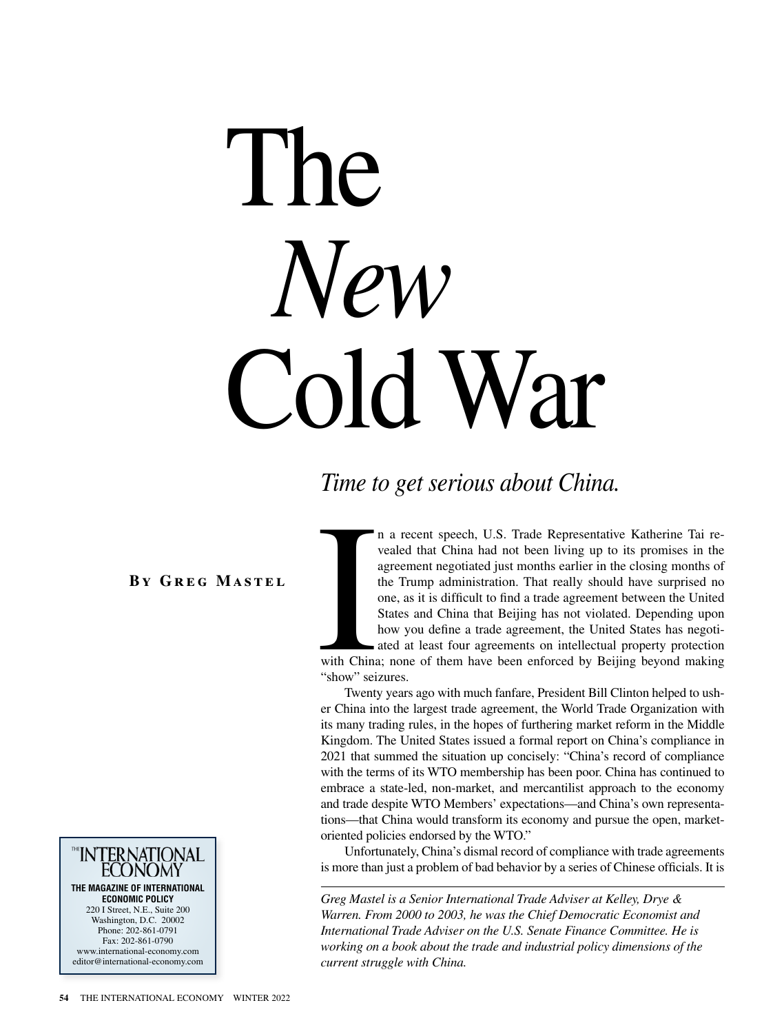# The *New* Cold War

# *Time to get serious about China.*

**By Greg Mastel**



with China<br>"show" sei n a recent speech, U.S. Trade Representative Katherine Tai revealed that China had not been living up to its promises in the agreement negotiated just months earlier in the closing months of the Trump administration. That really should have surprised no one, as it is difficult to find a trade agreement between the United States and China that Beijing has not violated. Depending upon how you define a trade agreement, the United States has negotiated at least four agreements on intellectual property protection

with China; none of them have been enforced by Beijing beyond making "show" seizures.

Twenty years ago with much fanfare, President Bill Clinton helped to usher China into the largest trade agreement, the World Trade Organization with its many trading rules, in the hopes of furthering market reform in the Middle Kingdom. The United States issued a formal report on China's compliance in 2021 that summed the situation up concisely: "China's record of compliance with the terms of its WTO membership has been poor. China has continued to embrace a state-led, non-market, and mercantilist approach to the economy and trade despite WTO Members' expectations—and China's own representations—that China would transform its economy and pursue the open, marketoriented policies endorsed by the WTO."

Unfortunately, China's dismal record of compliance with trade agreements is more than just a problem of bad behavior by a series of Chinese officials. It is

*Greg Mastel is a Senior International Trade Adviser at Kelley, Drye & Warren. From 2000 to 2003, he was the Chief Democratic Economist and International Trade Adviser on the U.S. Senate Finance Committee. He is working on a book about the trade and industrial policy dimensions of the current struggle with China.*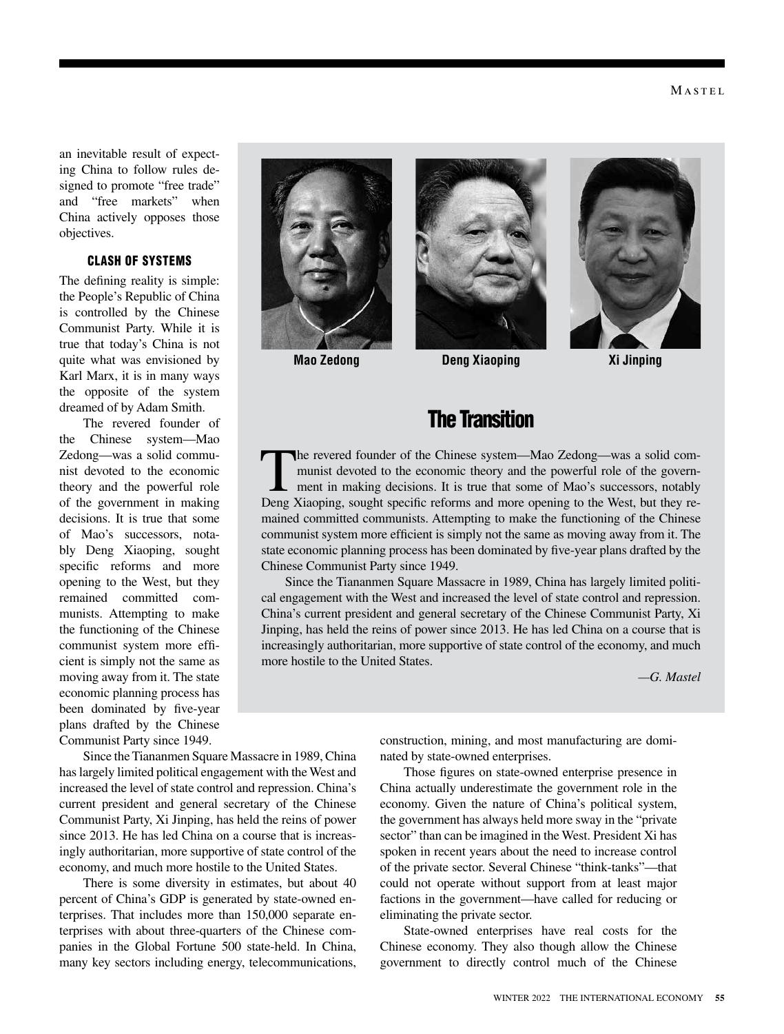an inevitable result of expecting China to follow rules designed to promote "free trade" and "free markets" when China actively opposes those objectives.

## CLASH OF SYSTEMS

The defining reality is simple: the People's Republic of China is controlled by the Chinese Communist Party. While it is true that today's China is not quite what was envisioned by Karl Marx, it is in many ways the opposite of the system dreamed of by Adam Smith.

The revered founder of the Chinese system—Mao Zedong—was a solid communist devoted to the economic theory and the powerful role of the government in making decisions. It is true that some of Mao's successors, notably Deng Xiaoping, sought specific reforms and more opening to the West, but they remained committed communists. Attempting to make the functioning of the Chinese communist system more efficient is simply not the same as moving away from it. The state economic planning process has been dominated by five-year plans drafted by the Chinese Communist Party since 1949.

Since the Tiananmen Square Massacre in 1989, China has largely limited political engagement with the West and increased the level of state control and repression. China's current president and general secretary of the Chinese Communist Party, Xi Jinping, has held the reins of power since 2013. He has led China on a course that is increasingly authoritarian, more supportive of state control of the economy, and much more hostile to the United States.

There is some diversity in estimates, but about 40 percent of China's GDP is generated by state-owned enterprises. That includes more than 150,000 separate enterprises with about three-quarters of the Chinese companies in the Global Fortune 500 state-held. In China, many key sectors including energy, telecommunications,





# The Transition

The revered founder of the Chinese system—Mao Zedong—was a solid communist devoted to the economic theory and the powerful role of the government in making decisions. It is true that some of Mao's successors, notably Deng Xiaoping, sought specific reforms and more opening to the West, but they remained committed communists. Attempting to make the functioning of the Chinese communist system more efficient is simply not the same as moving away from it. The state economic planning process has been dominated by five-year plans drafted by the Chinese Communist Party since 1949.

Since the Tiananmen Square Massacre in 1989, China has largely limited political engagement with the West and increased the level of state control and repression. China's current president and general secretary of the Chinese Communist Party, Xi Jinping, has held the reins of power since 2013. He has led China on a course that is increasingly authoritarian, more supportive of state control of the economy, and much more hostile to the United States.

*—G. Mastel*

construction, mining, and most manufacturing are dominated by state-owned enterprises.

Those figures on state-owned enterprise presence in China actually underestimate the government role in the economy. Given the nature of China's political system, the government has always held more sway in the "private sector" than can be imagined in the West. President Xi has spoken in recent years about the need to increase control of the private sector. Several Chinese "think-tanks"—that could not operate without support from at least major factions in the government—have called for reducing or eliminating the private sector.

State-owned enterprises have real costs for the Chinese economy. They also though allow the Chinese government to directly control much of the Chinese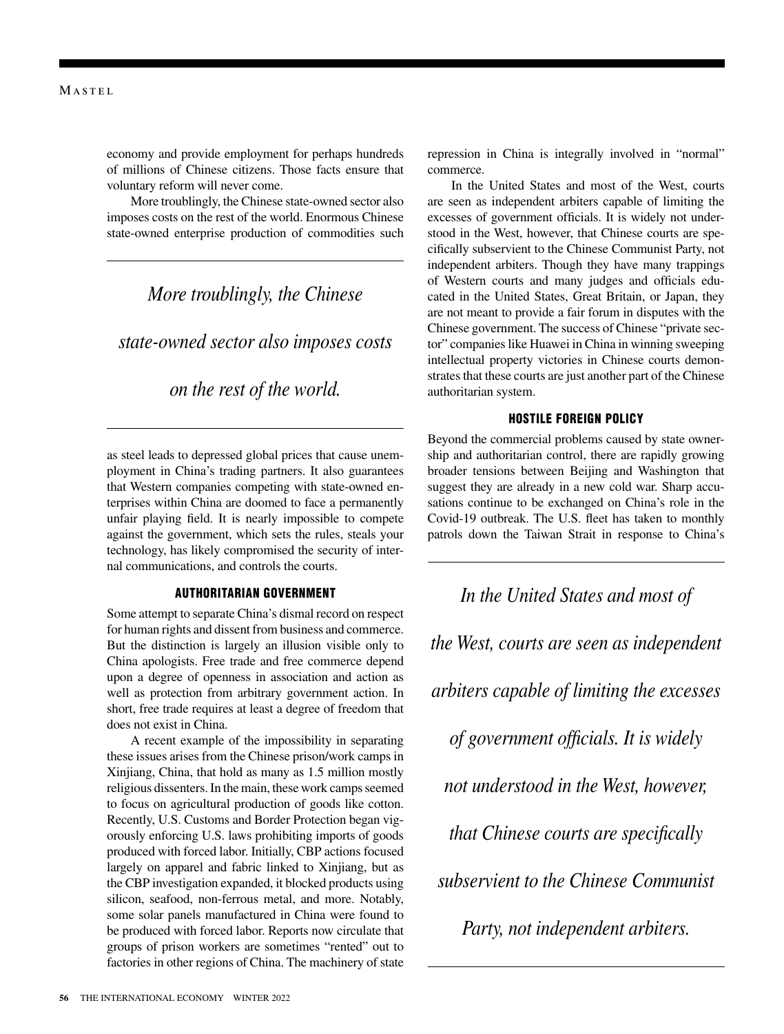economy and provide employment for perhaps hundreds of millions of Chinese citizens. Those facts ensure that voluntary reform will never come.

More troublingly, the Chinese state-owned sector also imposes costs on the rest of the world. Enormous Chinese state-owned enterprise production of commodities such

## *More troublingly, the Chinese*

*state-owned sector also imposes costs* 

## *on the rest of the world.*

as steel leads to depressed global prices that cause unemployment in China's trading partners. It also guarantees that Western companies competing with state-owned enterprises within China are doomed to face a permanently unfair playing field. It is nearly impossible to compete against the government, which sets the rules, steals your technology, has likely compromised the security of internal communications, and controls the courts.

#### AUTHORITARIAN GOVERNMENT

Some attempt to separate China's dismal record on respect for human rights and dissent from business and commerce. But the distinction is largely an illusion visible only to China apologists. Free trade and free commerce depend upon a degree of openness in association and action as well as protection from arbitrary government action. In short, free trade requires at least a degree of freedom that does not exist in China.

A recent example of the impossibility in separating these issues arises from the Chinese prison/work camps in Xinjiang, China, that hold as many as 1.5 million mostly religious dissenters. In the main, these work camps seemed to focus on agricultural production of goods like cotton. Recently, U.S. Customs and Border Protection began vigorously enforcing U.S. laws prohibiting imports of goods produced with forced labor. Initially, CBP actions focused largely on apparel and fabric linked to Xinjiang, but as the CBP investigation expanded, it blocked products using silicon, seafood, non-ferrous metal, and more. Notably, some solar panels manufactured in China were found to be produced with forced labor. Reports now circulate that groups of prison workers are sometimes "rented" out to factories in other regions of China. The machinery of state repression in China is integrally involved in "normal" commerce.

In the United States and most of the West, courts are seen as independent arbiters capable of limiting the excesses of government officials. It is widely not understood in the West, however, that Chinese courts are specifically subservient to the Chinese Communist Party, not independent arbiters. Though they have many trappings of Western courts and many judges and officials educated in the United States, Great Britain, or Japan, they are not meant to provide a fair forum in disputes with the Chinese government. The success of Chinese "private sector" companies like Huawei in China in winning sweeping intellectual property victories in Chinese courts demonstrates that these courts are just another part of the Chinese authoritarian system.

## HOSTILE FOREIGN POLICY

Beyond the commercial problems caused by state ownership and authoritarian control, there are rapidly growing broader tensions between Beijing and Washington that suggest they are already in a new cold war. Sharp accusations continue to be exchanged on China's role in the Covid-19 outbreak. The U.S. fleet has taken to monthly patrols down the Taiwan Strait in response to China's

*In the United States and most of the West, courts are seen as independent arbiters capable of limiting the excesses of government officials. It is widely not understood in the West, however, that Chinese courts are specifically subservient to the Chinese Communist Party, not independent arbiters.*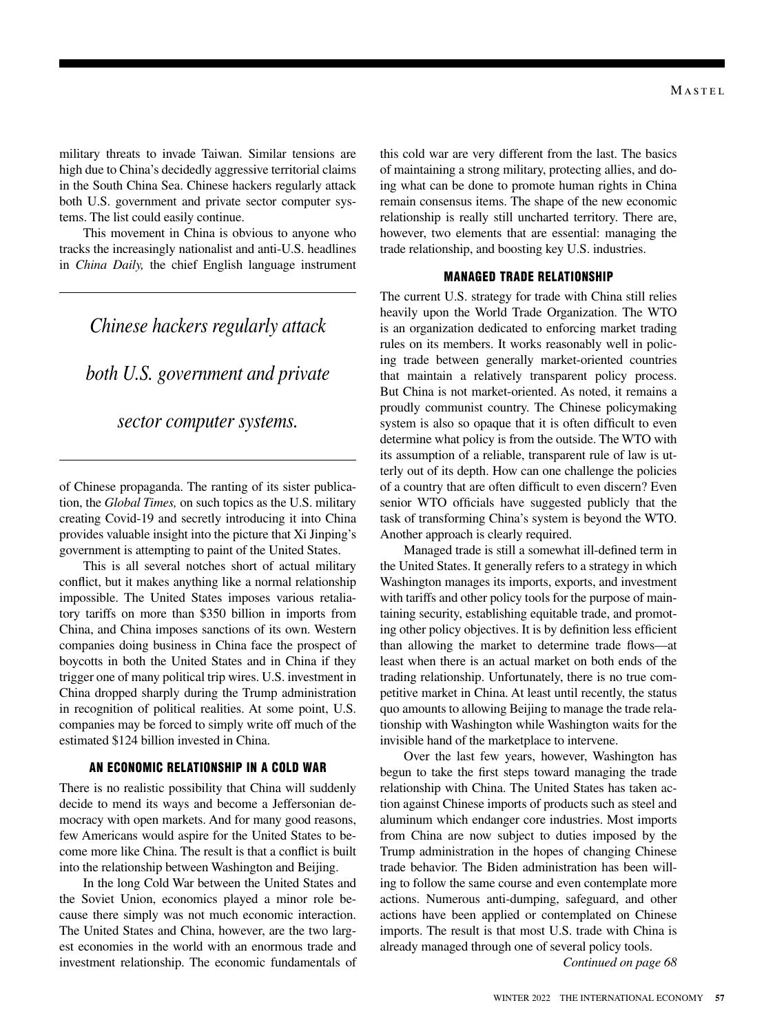military threats to invade Taiwan. Similar tensions are high due to China's decidedly aggressive territorial claims in the South China Sea. Chinese hackers regularly attack both U.S. government and private sector computer systems. The list could easily continue.

This movement in China is obvious to anyone who tracks the increasingly nationalist and anti-U.S. headlines in *China Daily,* the chief English language instrument

## *Chinese hackers regularly attack*

*both U.S. government and private* 

## *sector computer systems.*

of Chinese propaganda. The ranting of its sister publication, the *Global Times,* on such topics as the U.S. military creating Covid-19 and secretly introducing it into China provides valuable insight into the picture that Xi Jinping's government is attempting to paint of the United States.

This is all several notches short of actual military conflict, but it makes anything like a normal relationship impossible. The United States imposes various retaliatory tariffs on more than \$350 billion in imports from China, and China imposes sanctions of its own. Western companies doing business in China face the prospect of boycotts in both the United States and in China if they trigger one of many political trip wires. U.S. investment in China dropped sharply during the Trump administration in recognition of political realities. At some point, U.S. companies may be forced to simply write off much of the estimated \$124 billion invested in China.

### AN ECONOMIC RELATIONSHIP IN A COLD WAR

There is no realistic possibility that China will suddenly decide to mend its ways and become a Jeffersonian democracy with open markets. And for many good reasons, few Americans would aspire for the United States to become more like China. The result is that a conflict is built into the relationship between Washington and Beijing.

In the long Cold War between the United States and the Soviet Union, economics played a minor role because there simply was not much economic interaction. The United States and China, however, are the two largest economies in the world with an enormous trade and investment relationship. The economic fundamentals of this cold war are very different from the last. The basics of maintaining a strong military, protecting allies, and doing what can be done to promote human rights in China remain consensus items. The shape of the new economic relationship is really still uncharted territory. There are, however, two elements that are essential: managing the trade relationship, and boosting key U.S. industries.

## MANAGED TRADE RELATIONSHIP

The current U.S. strategy for trade with China still relies heavily upon the World Trade Organization. The WTO is an organization dedicated to enforcing market trading rules on its members. It works reasonably well in policing trade between generally market-oriented countries that maintain a relatively transparent policy process. But China is not market-oriented. As noted, it remains a proudly communist country. The Chinese policymaking system is also so opaque that it is often difficult to even determine what policy is from the outside. The WTO with its assumption of a reliable, transparent rule of law is utterly out of its depth. How can one challenge the policies of a country that are often difficult to even discern? Even senior WTO officials have suggested publicly that the task of transforming China's system is beyond the WTO. Another approach is clearly required.

Managed trade is still a somewhat ill-defined term in the United States. It generally refers to a strategy in which Washington manages its imports, exports, and investment with tariffs and other policy tools for the purpose of maintaining security, establishing equitable trade, and promoting other policy objectives. It is by definition less efficient than allowing the market to determine trade flows—at least when there is an actual market on both ends of the trading relationship. Unfortunately, there is no true competitive market in China. At least until recently, the status quo amounts to allowing Beijing to manage the trade relationship with Washington while Washington waits for the invisible hand of the marketplace to intervene.

Over the last few years, however, Washington has begun to take the first steps toward managing the trade relationship with China. The United States has taken action against Chinese imports of products such as steel and aluminum which endanger core industries. Most imports from China are now subject to duties imposed by the Trump administration in the hopes of changing Chinese trade behavior. The Biden administration has been willing to follow the same course and even contemplate more actions. Numerous anti-dumping, safeguard, and other actions have been applied or contemplated on Chinese imports. The result is that most U.S. trade with China is already managed through one of several policy tools.

*Continued on page 68*